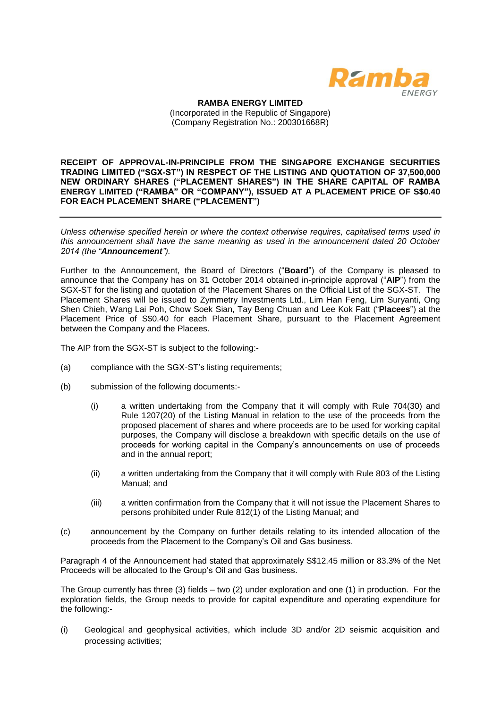

**RAMBA ENERGY LIMITED** (Incorporated in the Republic of Singapore) (Company Registration No.: 200301668R)

**RECEIPT OF APPROVAL-IN-PRINCIPLE FROM THE SINGAPORE EXCHANGE SECURITIES TRADING LIMITED ("SGX-ST") IN RESPECT OF THE LISTING AND QUOTATION OF 37,500,000 NEW ORDINARY SHARES ("PLACEMENT SHARES") IN THE SHARE CAPITAL OF RAMBA ENERGY LIMITED ("RAMBA" OR "COMPANY"), ISSUED AT A PLACEMENT PRICE OF S\$0.40 FOR EACH PLACEMENT SHARE ("PLACEMENT")**

*Unless otherwise specified herein or where the context otherwise requires, capitalised terms used in this announcement shall have the same meaning as used in the announcement dated 20 October 2014 (the "Announcement").*

Further to the Announcement, the Board of Directors ("**Board**") of the Company is pleased to announce that the Company has on 31 October 2014 obtained in-principle approval ("**AIP**") from the SGX-ST for the listing and quotation of the Placement Shares on the Official List of the SGX-ST. The Placement Shares will be issued to Zymmetry Investments Ltd., Lim Han Feng, Lim Suryanti, Ong Shen Chieh, Wang Lai Poh, Chow Soek Sian, Tay Beng Chuan and Lee Kok Fatt ("**Placees**") at the Placement Price of S\$0.40 for each Placement Share, pursuant to the Placement Agreement between the Company and the Placees.

The AIP from the SGX-ST is subject to the following:-

- (a) compliance with the SGX-ST's listing requirements;
- (b) submission of the following documents:-
	- (i) a written undertaking from the Company that it will comply with Rule 704(30) and Rule 1207(20) of the Listing Manual in relation to the use of the proceeds from the proposed placement of shares and where proceeds are to be used for working capital purposes, the Company will disclose a breakdown with specific details on the use of proceeds for working capital in the Company's announcements on use of proceeds and in the annual report;
	- (ii) a written undertaking from the Company that it will comply with Rule 803 of the Listing Manual; and
	- (iii) a written confirmation from the Company that it will not issue the Placement Shares to persons prohibited under Rule 812(1) of the Listing Manual; and
- (c) announcement by the Company on further details relating to its intended allocation of the proceeds from the Placement to the Company's Oil and Gas business.

Paragraph 4 of the Announcement had stated that approximately S\$12.45 million or 83.3% of the Net Proceeds will be allocated to the Group's Oil and Gas business.

The Group currently has three (3) fields – two (2) under exploration and one (1) in production. For the exploration fields, the Group needs to provide for capital expenditure and operating expenditure for the following:-

(i) Geological and geophysical activities, which include 3D and/or 2D seismic acquisition and processing activities;